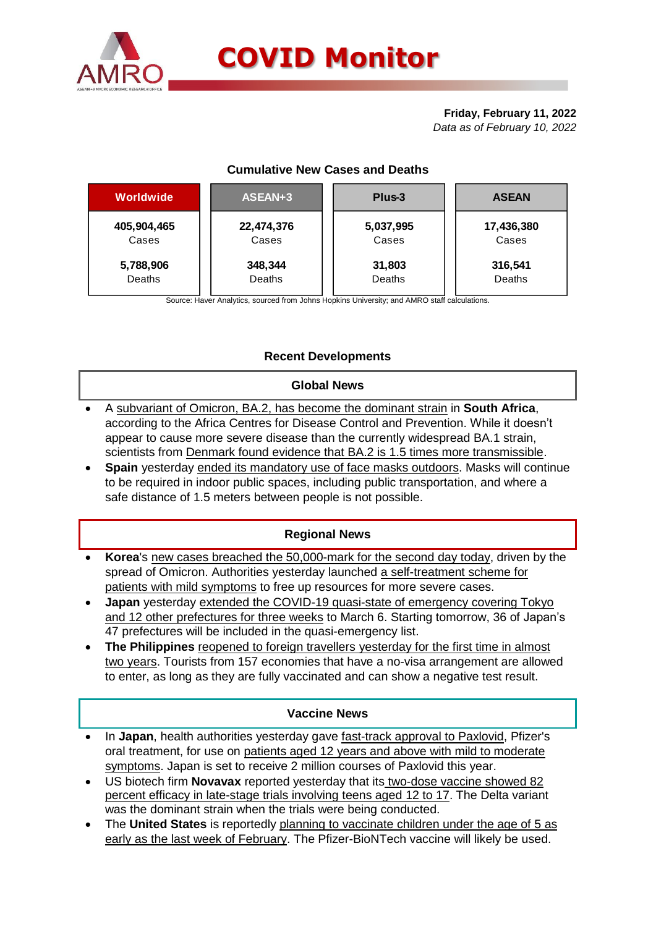

#### **Friday, February 11, 2022** *Data as of February 10, 2022*

# **Cumulative New Cases and Deaths**

| Worldwide   | ASEAN+3    | Plus-3    | <b>ASEAN</b> |  |  |
|-------------|------------|-----------|--------------|--|--|
| 405,904,465 | 22,474,376 | 5,037,995 | 17,436,380   |  |  |
| Cases       | Cases      | Cases     | Cases        |  |  |
| 5,788,906   | 348,344    | 31,803    | 316,541      |  |  |
| Deaths      | Deaths     | Deaths    | Deaths       |  |  |

Source: Haver Analytics, sourced from Johns Hopkins University; and AMRO staff calculations.

# **Recent Developments**

### **Global News**

- A subvariant of Omicron, BA.2, has become the dominant strain in **South Africa**, according to the Africa Centres for Disease Control and Prevention. While it doesn't appear to cause more severe disease than the currently widespread BA.1 strain, scientists from Denmark found evidence that BA.2 is 1.5 times more transmissible.
- **Spain** yesterday ended its mandatory use of face masks outdoors. Masks will continue to be required in indoor public spaces, including public transportation, and where a safe distance of 1.5 meters between people is not possible.

# **Regional News**

- **Korea**'s new cases breached the 50,000-mark for the second day today, driven by the spread of Omicron. Authorities yesterday launched a self-treatment scheme for patients with mild symptoms to free up resources for more severe cases.
- **Japan** yesterday extended the COVID-19 quasi-state of emergency covering Tokyo and 12 other prefectures for three weeks to March 6. Starting tomorrow, 36 of Japan's 47 prefectures will be included in the quasi-emergency list.
- **The Philippines** reopened to foreign travellers yesterday for the first time in almost two years. Tourists from 157 economies that have a no-visa arrangement are allowed to enter, as long as they are fully vaccinated and can show a negative test result.

### **Vaccine News**

- In **Japan**, health authorities yesterday gave fast-track approval to Paxlovid, Pfizer's oral treatment, for use on patients aged 12 years and above with mild to moderate symptoms. Japan is set to receive 2 million courses of Paxlovid this year.
- US biotech firm **Novavax** reported yesterday that its two-dose vaccine showed 82 percent efficacy in late-stage trials involving teens aged 12 to 17. The Delta variant was the dominant strain when the trials were being conducted.
- The **United States** is reportedly planning to vaccinate children under the age of 5 as early as the last week of February. The Pfizer-BioNTech vaccine will likely be used.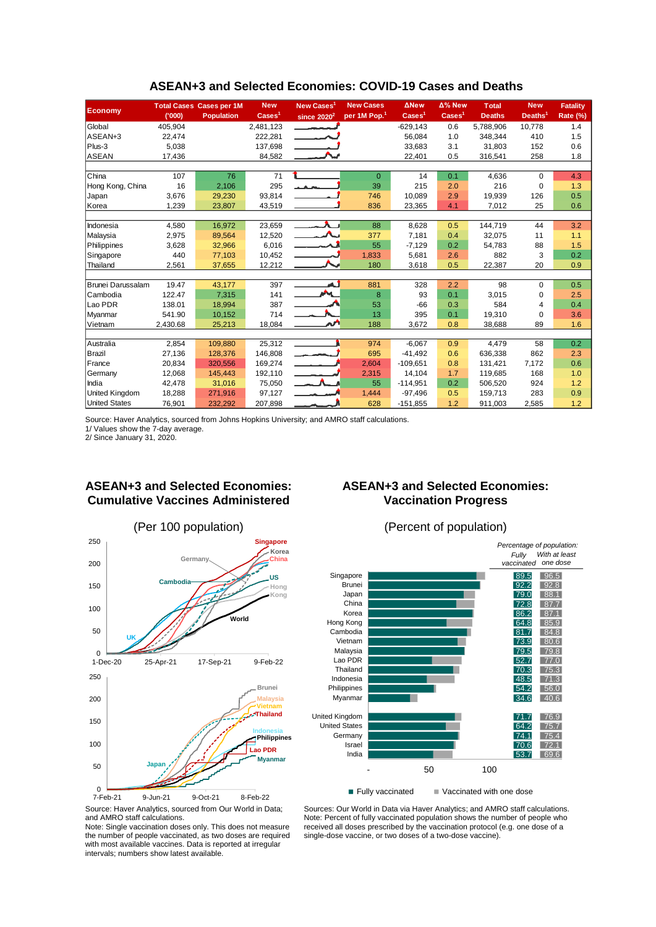|                          |          | <b>Total Cases Cases per 1M</b> | <b>New</b>               | New Cases <sup>1</sup>   | <b>New Cases</b>         | <b>ANew</b>              | Δ% New                   | <b>Total</b>  | <b>New</b>          | <b>Fatality</b> |
|--------------------------|----------|---------------------------------|--------------------------|--------------------------|--------------------------|--------------------------|--------------------------|---------------|---------------------|-----------------|
| <b>Economy</b>           | (000)    | <b>Population</b>               | $\text{Case} \text{s}^1$ | since $2020^2$           | per 1M Pop. <sup>1</sup> | $\text{Case} \text{s}^1$ | $\text{Case} \text{s}^1$ | <b>Deaths</b> | Deaths <sup>1</sup> | <b>Rate (%)</b> |
| Global                   | 405,904  |                                 | 2,481,123                |                          |                          | $-629,143$               | 0.6                      | 5,788,906     | 10,778              | 1.4             |
| ASEAN+3                  | 22,474   |                                 | 222,281                  |                          |                          | 56.084                   | 1.0                      | 348,344       | 410                 | 1.5             |
| Plus-3                   | 5,038    |                                 | 137,698                  |                          |                          | 33,683                   | 3.1                      | 31,803        | 152                 | 0.6             |
| <b>ASEAN</b>             | 17,436   |                                 | 84,582                   |                          |                          | 22,401                   | 0.5                      | 316,541       | 258                 | 1.8             |
|                          |          |                                 |                          |                          |                          |                          |                          |               |                     |                 |
| China                    | 107      | 76                              | 71                       |                          | $\Omega$                 | 14                       | 0.1                      | 4.636         | 0                   | 4.3             |
| Hong Kong, China         | 16       | 2,106                           | 295                      |                          | 39                       | 215                      | 2.0                      | 216           | $\mathbf 0$         | 1.3             |
| Japan                    | 3,676    | 29,230                          | 93,814                   |                          | 746                      | 10.089                   | 2.9                      | 19,939        | 126                 | 0.5             |
| Korea                    | 1,239    | 23,807                          | 43,519                   |                          | 836                      | 23,365                   | 4.1                      | 7,012         | 25                  | 0.6             |
|                          |          |                                 |                          |                          |                          |                          |                          |               |                     |                 |
| Indonesia                | 4,580    | 16,972                          | 23,659                   |                          | 88                       | 8,628                    | 0.5                      | 144,719       | 44                  | 3.2             |
| Malaysia                 | 2,975    | 89,564                          | 12,520                   |                          | 377                      | 7,181                    | 0.4                      | 32,075        | 11                  | 1.1             |
| Philippines              | 3,628    | 32,966                          | 6,016                    |                          | 55                       | $-7,129$                 | 0.2                      | 54,783        | 88                  | 1.5             |
| Singapore                | 440      | 77,103                          | 10,452                   |                          | 1,833                    | 5,681                    | 2.6                      | 882           | 3                   | 0.2             |
| Thailand                 | 2,561    | 37,655                          | 12,212                   |                          | 180                      | 3,618                    | 0.5                      | 22,387        | 20                  | 0.9             |
|                          |          |                                 |                          |                          |                          |                          |                          |               |                     |                 |
| <b>Brunei Darussalam</b> | 19.47    | 43,177                          | 397                      | نم                       | 881                      | 328                      | 2.2                      | 98            | $\Omega$            | 0.5             |
| Cambodia                 | 122.47   | 7,315                           | 141                      | <b>AN</b>                | 8                        | 93                       | 0.1                      | 3,015         | 0                   | 2.5             |
| Lao PDR                  | 138.01   | 18,994                          | 387                      |                          | 53                       | $-66$                    | 0.3                      | 584           | 4                   | 0.4             |
| Myanmar                  | 541.90   | 10,152                          | 714                      |                          | 13                       | 395                      | 0.1                      | 19,310        | 0                   | 3.6             |
| Vietnam                  | 2,430.68 | 25,213                          | 18,084                   |                          | 188                      | 3,672                    | 0.8                      | 38,688        | 89                  | 1.6             |
|                          |          |                                 |                          |                          |                          |                          |                          |               |                     |                 |
| Australia                | 2,854    | 109.880                         | 25,312                   |                          | 974                      | $-6.067$                 | 0.9                      | 4,479         | 58                  | 0.2             |
| Brazil                   | 27,136   | 128,376                         | 146,808                  | $\overline{\phantom{m}}$ | 695                      | $-41,492$                | 0.6                      | 636,338       | 862                 | 2.3             |
| France                   | 20,834   | 320,556                         | 169,274                  | $\sim$ 100 $\sim$        | 2,604                    | $-109,651$               | 0.8                      | 131,421       | 7,172               | 0.6             |
| Germany                  | 12,068   | 145,443                         | 192,110                  |                          | 2,315                    | 14,104                   | 1.7                      | 119,685       | 168                 | 1.0             |
| India                    | 42,478   | 31,016                          | 75,050                   | $\overline{\phantom{a}}$ | 55                       | $-114,951$               | 0.2                      | 506.520       | 924                 | 1.2             |
| <b>United Kingdom</b>    | 18,288   | 271,916                         | 97,127                   |                          | 1,444                    | $-97,496$                | 0.5                      | 159,713       | 283                 | 0.9             |
| <b>United States</b>     | 76,901   | 232,292                         | 207,898                  |                          | 628                      | $-151,855$               | 1.2                      | 911,003       | 2,585               | 1.2             |

#### **ASEAN+3 and Selected Economies: COVID-19 Cases and Deaths**

Source: Haver Analytics, sourced from Johns Hopkins University; and AMRO staff calculations.

1/ Values show the 7-day average. 2/ Since January 31, 2020.

## **ASEAN+3 and Selected Economies: Cumulative Vaccines Administered**



## **ASEAN+3 and Selected Economies: Vaccination Progress**



Source: Haver Analytics, sourced from Our World in Data; and AMRO staff calculations.

Note: Single vaccination doses only. This does not measure the number of people vaccinated, as two doses are required with most available vaccines. Data is reported at irregular intervals; numbers show latest available.

Sources: Our World in Data via Haver Analytics; and AMRO staff calculations. Note: Percent of fully vaccinated population shows the number of people who received all doses prescribed by the vaccination protocol (e.g. one dose of a single-dose vaccine, or two doses of a two-dose vaccine).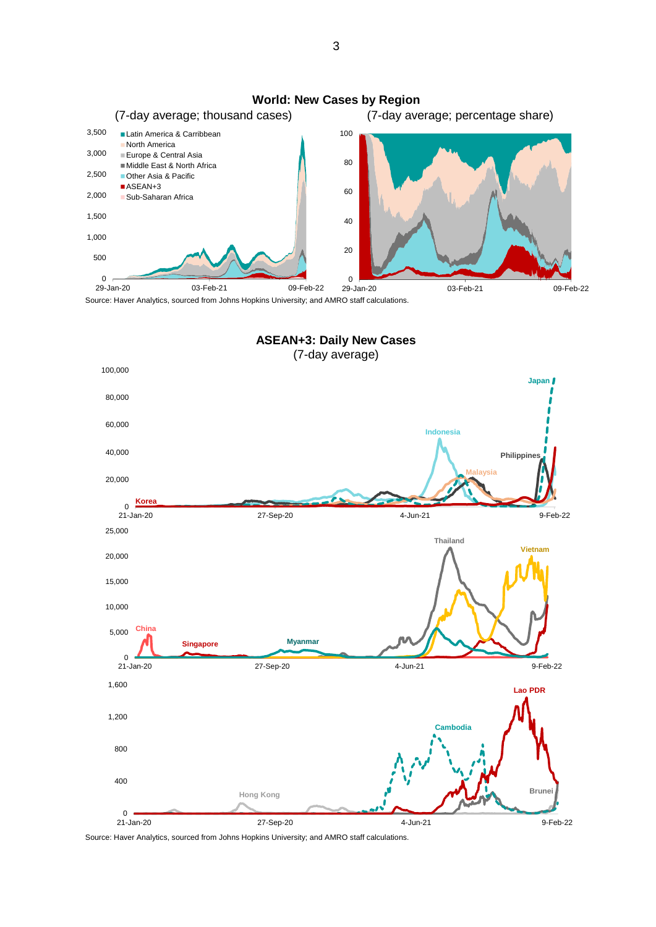

Source: Haver Analytics, sourced from Johns Hopkins University; and AMRO staff calculations.

**ASEAN+3: Daily New Cases** (7-day average)



3